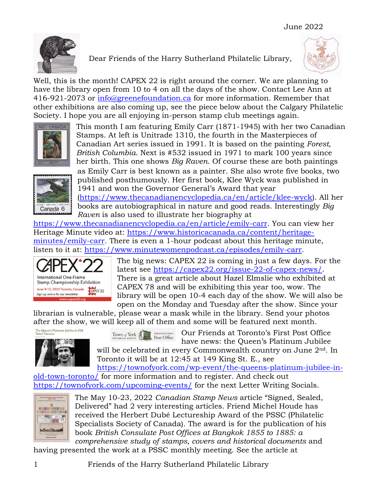

Dear Friends of the Harry Sutherland Philatelic Library,



Well, this is the month! CAPEX 22 is right around the corner. We are planning to have the library open from 10 to 4 on all the days of the show. Contact Lee Ann at 416-921-2073 or [info@greenefoundation.ca](mailto:info@greenefoundation.ca) for more information. Remember that other exhibitions are also coming up, see the piece below about the Calgary Philatelic Society. I hope you are all enjoying in-person stamp club meetings again.



This month I am featuring Emily Carr (1871-1945) with her two Canadian Stamps. At left is Unitrade 1310, the fourth in the Masterpieces of Canadian Art series issued in 1991. It is based on the painting *Forest, British Columbia*. Next is #532 issued in 1971 to mark 100 years since her birth. This one shows *Big Raven*. Of course these are both paintings



as Emily Carr is best known as a painter. She also wrote five books, two published posthumously. Her first book, Klee Wyck was published in 1941 and won the Governor General's Award that year [\(https://www.thecanadianencyclopedia.ca/en/article/klee-wyck\)](https://www.thecanadianencyclopedia.ca/en/article/klee-wyck). All her books are autobiographical in nature and good reads. Interestingly *Big Raven* is also used to illustrate her biography at

[https://www.thecanadianencyclopedia.ca/en/article/emily-carr.](https://www.thecanadianencyclopedia.ca/en/article/emily-carr) You can view her Heritage Minute video at: [https://www.historicacanada.ca/content/heritage](https://www.historicacanada.ca/content/heritage-minutes/emily-carr)[minutes/emily-carr.](https://www.historicacanada.ca/content/heritage-minutes/emily-carr) There is even a 1-hour podcast about this heritage minute, listen to it at: [https://www.minutewomenpodcast.ca/episodes/emily-carr.](https://www.minutewomenpodcast.ca/episodes/emily-carr)



The big news: CAPEX 22 is coming in just a few days. For the latest see [https://capex22.org/issue-22-of-capex-news/.](https://capex22.org/issue-22-of-capex-news/) There is a great article about Hazel Elmslie who exhibited at CAPEX 78 and will be exhibiting this year too, wow. The library will be open 10-4 each day of the show. We will also be open on the Monday and Tuesday after the show. Since your

librarian is vulnerable, please wear a mask while in the library. Send your photos after the show, we will keep all of them and some will be featured next month.



The Queen's Platinum Jubilee in Old

Post Office Town of York

Our Friends at Toronto's First Post Office have news: the Queen's Platinum Jubilee

will be celebrated in every Commonwealth country on June 2<sup>nd</sup>. In Toronto it will be at 12:45 at 149 King St. E., see

[https://townofyork.com/wp-event/the-queens-platinum-jubilee-in](https://townofyork.com/wp-event/the-queens-platinum-jubilee-in-old-town-toronto/)[old-town-toronto/](https://townofyork.com/wp-event/the-queens-platinum-jubilee-in-old-town-toronto/) for more information and to register. And check out <https://townofyork.com/upcoming-events/> for the next Letter Writing Socials.



The May 10-23, 2022 *Canadian Stamp News* article "Signed, Sealed, Delivered" had 2 very interesting articles. Friend Michel Houde has received the Herbert Dubé Lectureship Award of the PSSC (Philatelic Specialists Society of Canada). The award is for the publication of his book *British Consulate Post Offices at Bangkok 1855 to 1885: a comprehensive study of stamps, covers and historical documents* and

having presented the work at a PSSC monthly meeting. See the article at

1 Friends of the Harry Sutherland Philatelic Library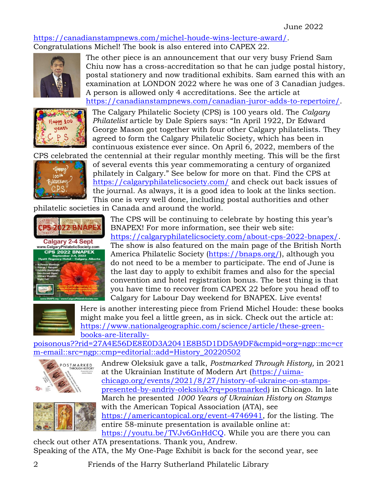## [https://canadianstampnews.com/michel-houde-wins-lecture-award/.](https://canadianstampnews.com/michel-houde-wins-lecture-award/) Congratulations Michel! The book is also entered into CAPEX 22.



Happy 100 years P S



[https://canadianstampnews.com/canadian-juror-adds-to-repertoire/.](https://canadianstampnews.com/canadian-juror-adds-to-repertoire/) The Calgary Philatelic Society (CPS) is 100 years old. The *Calgary Philatelist* article by Dale Spiers says: "In April 1922, Dr Edward George Mason got together with four other Calgary philatelists. They agreed to form the Calgary Philatelic Society, which has been in continuous existence ever since. On April 6, 2022, members of the CPS celebrated the centennial at their regular monthly meeting. This will be the first

The other piece is an announcement that our very busy Friend Sam Chiu now has a cross-accreditation so that he can judge postal history, postal stationery and now traditional exhibits. Sam earned this with an examination at LONDON 2022 where he was one of 3 Canadian judges.

A person is allowed only 4 accreditations. See the article at

of several events this year commemorating a century of organized philately in Calgary." See below for more on that. Find the CPS at <https://calgaryphilatelicsociety.com/> and check out back issues of the journal. As always, it is a good idea to look at the links section. This one is very well done, including postal authorities and other

philatelic societies in Canada and around the world.



The CPS will be continuing to celebrate by hosting this year's BNAPEX! For more information, see their web site: [https://calgaryphilatelicsociety.com/about-cps-2022-bnapex/.](https://calgaryphilatelicsociety.com/about-cps-2022-bnapex/) The show is also featured on the main page of the British North America Philatelic Society [\(https://bnaps.org/\)](https://bnaps.org/), although you do not need to be a member to participate. The end of June is the last day to apply to exhibit frames and also for the special convention and hotel registration bonus. The best thing is that you have time to recover from CAPEX 22 before you head off to Calgary for Labour Day weekend for BNAPEX. Live events!



Here is another interesting piece from Friend Michel Houde: these books might make you feel a little green, as in sick. Check out the article at: [https://www.nationalgeographic.com/science/article/these-green](https://www.nationalgeographic.com/science/article/these-green-books-are-literally-poisonous??rid=27A4E56DE8E0D3A2041E8B5D1DD5A9DF&cmpid=org=ngp::mc=crm-email::src=ngp::cmp=editorial::add=History_20220502)[books-are-literally-](https://www.nationalgeographic.com/science/article/these-green-books-are-literally-poisonous??rid=27A4E56DE8E0D3A2041E8B5D1DD5A9DF&cmpid=org=ngp::mc=crm-email::src=ngp::cmp=editorial::add=History_20220502)

[poisonous??rid=27A4E56DE8E0D3A2041E8B5D1DD5A9DF&cmpid=org=ngp::mc=cr](https://www.nationalgeographic.com/science/article/these-green-books-are-literally-poisonous??rid=27A4E56DE8E0D3A2041E8B5D1DD5A9DF&cmpid=org=ngp::mc=crm-email::src=ngp::cmp=editorial::add=History_20220502) [m-email::src=ngp::cmp=editorial::add=History\\_20220502](https://www.nationalgeographic.com/science/article/these-green-books-are-literally-poisonous??rid=27A4E56DE8E0D3A2041E8B5D1DD5A9DF&cmpid=org=ngp::mc=crm-email::src=ngp::cmp=editorial::add=History_20220502)





Andrew Oleksiuk gave a talk, *Postmarked Through History,* in 2021 at the Ukrainian Institute of Modern Art [\(https://uima](https://uima-chicago.org/events/2021/8/27/history-of-ukraine-on-stamps-presented-by-andriy-oleksiuk?rq=postmarked)[chicago.org/events/2021/8/27/history-of-ukraine-on-stamps](https://uima-chicago.org/events/2021/8/27/history-of-ukraine-on-stamps-presented-by-andriy-oleksiuk?rq=postmarked)[presented-by-andriy-oleksiuk?rq=postmarked\)](https://uima-chicago.org/events/2021/8/27/history-of-ukraine-on-stamps-presented-by-andriy-oleksiuk?rq=postmarked) in Chicago. In late March he presented *1000 Years of Ukrainian History on Stamps* with the American Topical Association (ATA), see [https://americantopical.org/event-4746941,](https://americantopical.org/event-4746941) for the listing. The entire 58-minute presentation is available online at:

[https://youtu.be/TVJv6GnHdCQ.](https://youtu.be/TVJv6GnHdCQ) While you are there you can check out other ATA presentations. Thank you, Andrew.

Speaking of the ATA, the My One-Page Exhibit is back for the second year, see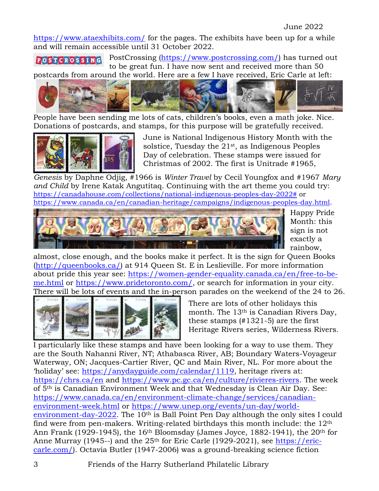June 2022

<https://www.ataexhibits.com/> for the pages. The exhibits have been up for a while and will remain accessible until 31 October 2022.

POSTCROSSING

PostCrossing [\(https://www.postcrossing.com/\)](https://www.postcrossing.com/) has turned out to be great fun. I have now sent and received more than 50

postcards from around the world. Here are a few I have received, Eric Carle at left:



People have been sending me lots of cats, children's books, even a math joke. Nice. Donations of postcards, and stamps, for this purpose will be gratefully received.



June is National Indigenous History Month with the solstice, Tuesday the  $21<sup>st</sup>$ , as Indigenous Peoples Day of celebration. These stamps were issued for Christmas of 2002. The first is Unitrade #1965,

*Genesis* by Daphne Odjig, #1966 is *Winter Travel* by Cecil Youngfox and #1967 *Mary and Child* by Irene Katak Angutitaq. Continuing with the art theme you could try: [https://canadahouse.com/collections/national-indigenous-peoples-day-2022#](https://canadahouse.com/collections/national-indigenous-peoples-day-2022) or [https://www.canada.ca/en/canadian-heritage/campaigns/indigenous-peoples-day.html.](https://www.canada.ca/en/canadian-heritage/campaigns/indigenous-peoples-day.html)



Happy Pride Month: this sign is not exactly a rainbow,

almost, close enough, and the books make it perfect. It is the sign for Queen Books [\(http://queenbooks.ca/\)](http://queenbooks.ca/) at 914 Queen St. E in Leslieville. For more information about pride this year see: [https://women-gender-equality.canada.ca/en/free-to-be](https://women-gender-equality.canada.ca/en/free-to-be-me.html)[me.html](https://women-gender-equality.canada.ca/en/free-to-be-me.html) or [https://www.pridetoronto.com/,](https://www.pridetoronto.com/) or search for information in your city. There will be lots of events and the in-person parades on the weekend of the 24 to 26.



There are lots of other holidays this month. The 13<sup>th</sup> is Canadian Rivers Day, these stamps (#1321-5) are the first Heritage Rivers series, Wilderness Rivers.

I particularly like these stamps and have been looking for a way to use them. They are the South Nahanni River, NT; Athabasca River, AB; Boundary Waters-Voyageur Waterway, ON; Jacques-Cartier River, QC and Main River, NL. For more about the 'holiday' see: [https://anydayguide.com/calendar/1119,](https://anydayguide.com/calendar/1119) heritage rivers at: <https://chrs.ca/en> and [https://www.pc.gc.ca/en/culture/rivieres-rivers.](https://www.pc.gc.ca/en/culture/rivieres-rivers) The week of 5th is Canadian Environment Week and that Wednesday is Clean Air Day. See: [https://www.canada.ca/en/environment-climate-change/services/canadian](https://www.canada.ca/en/environment-climate-change/services/canadian-environment-week.html)[environment-week.html](https://www.canada.ca/en/environment-climate-change/services/canadian-environment-week.html) or [https://www.unep.org/events/un-day/world](https://www.unep.org/events/un-day/world-environment-day-2022)[environment-day-2022.](https://www.unep.org/events/un-day/world-environment-day-2022) The 10th is Ball Point Pen Day although the only sites I could find were from pen-makers. Writing-related birthdays this month include: the 12th Ann Frank (1929-1945), the 16<sup>th</sup> Bloomsday (James Joyce, 1882-1941), the 20<sup>th</sup> for Anne Murray (1945--) and the  $25<sup>th</sup>$  for Eric Carle (1929-2021), see [https://eric](https://eric-carle.com/)[carle.com/\)](https://eric-carle.com/). Octavia Butler (1947-2006) was a ground-breaking science fiction